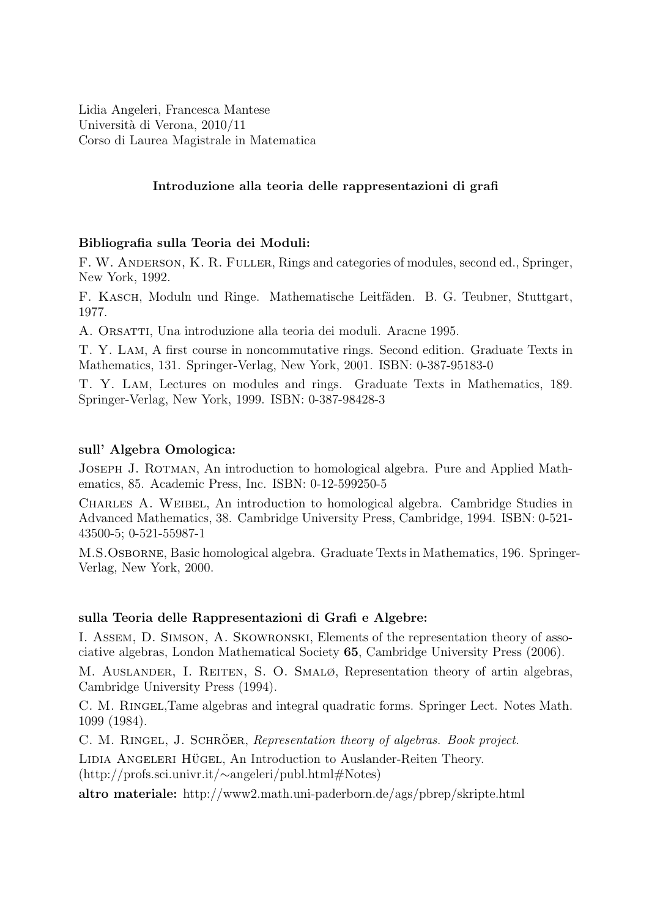Lidia Angeleri, Francesca Mantese Università di Verona, 2010/11 Corso di Laurea Magistrale in Matematica

#### Introduzione alla teoria delle rappresentazioni di grafi

#### Bibliografia sulla Teoria dei Moduli:

F. W. Anderson, K. R. Fuller, Rings and categories of modules, second ed., Springer, New York, 1992.

F. KASCH, Moduln und Ringe. Mathematische Leitfäden. B. G. Teubner, Stuttgart, 1977.

A. Orsatti, Una introduzione alla teoria dei moduli. Aracne 1995.

T. Y. Lam, A first course in noncommutative rings. Second edition. Graduate Texts in Mathematics, 131. Springer-Verlag, New York, 2001. ISBN: 0-387-95183-0

T. Y. Lam, Lectures on modules and rings. Graduate Texts in Mathematics, 189. Springer-Verlag, New York, 1999. ISBN: 0-387-98428-3

#### sull' Algebra Omologica:

Joseph J. Rotman, An introduction to homological algebra. Pure and Applied Mathematics, 85. Academic Press, Inc. ISBN: 0-12-599250-5

Charles A. Weibel, An introduction to homological algebra. Cambridge Studies in Advanced Mathematics, 38. Cambridge University Press, Cambridge, 1994. ISBN: 0-521- 43500-5; 0-521-55987-1

M.S.Osborne, Basic homological algebra. Graduate Texts in Mathematics, 196. Springer-Verlag, New York, 2000.

#### sulla Teoria delle Rappresentazioni di Grafi e Algebre:

I. Assem, D. Simson, A. Skowronski, Elements of the representation theory of associative algebras, London Mathematical Society 65, Cambridge University Press (2006).

M. Auslander, I. Reiten, S. O. Smalø, Representation theory of artin algebras, Cambridge University Press (1994).

C. M. Ringel,Tame algebras and integral quadratic forms. Springer Lect. Notes Math. 1099 (1984).

C. M. RINGEL, J. SCHRÖER, Representation theory of algebras. Book project.

LIDIA ANGELERI HÜGEL, An Introduction to Auslander-Reiten Theory. (http://profs.sci.univr.it/∼angeleri/publ.html#Notes)

altro materiale: http://www2.math.uni-paderborn.de/ags/pbrep/skripte.html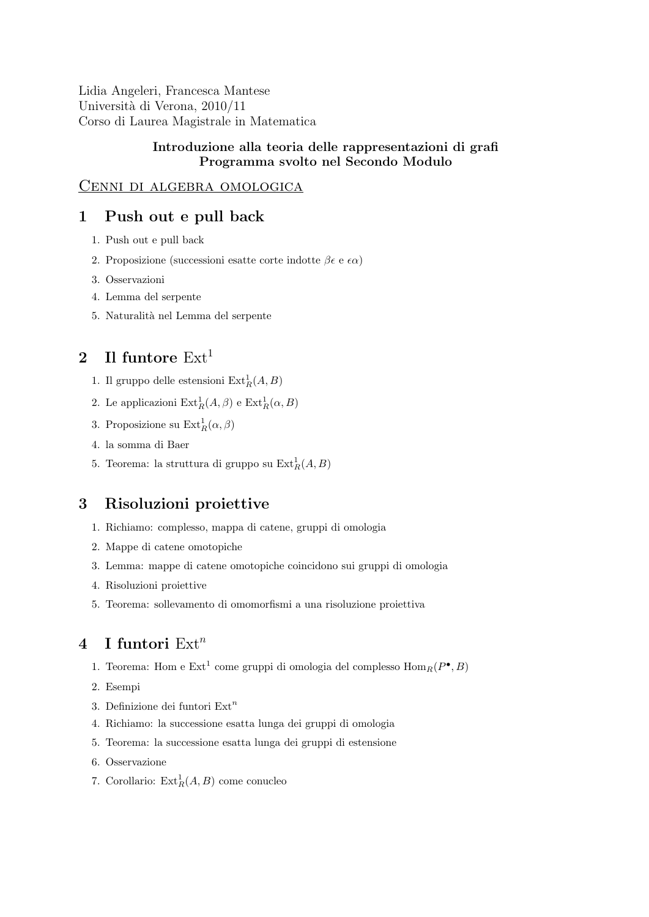Lidia Angeleri, Francesca Mantese Università di Verona, 2010/11 Corso di Laurea Magistrale in Matematica

#### Introduzione alla teoria delle rappresentazioni di grafi Programma svolto nel Secondo Modulo

#### Cenni di algebra omologica

# 1 Push out e pull back

- 1. Push out e pull back
- 2. Proposizione (successioni esatte corte indotte  $\beta \epsilon \in \epsilon \alpha$ )
- 3. Osservazioni
- 4. Lemma del serpente
- 5. Naturalit`a nel Lemma del serpente

# 2 Il funtore  $Ext<sup>1</sup>$

- 1. Il gruppo delle estensioni  $\text{Ext}^1_R(A,B)$
- 2. Le applicazioni  $\mathrm{Ext}^1_R(A,\beta)$  e  $\mathrm{Ext}^1_R(\alpha,B)$
- 3. Proposizione su  $\text{Ext}^1_R(\alpha, \beta)$
- 4. la somma di Baer
- 5. Teorema: la struttura di gruppo su $\operatorname{Ext}^1_R(A,B)$

# 3 Risoluzioni proiettive

- 1. Richiamo: complesso, mappa di catene, gruppi di omologia
- 2. Mappe di catene omotopiche
- 3. Lemma: mappe di catene omotopiche coincidono sui gruppi di omologia
- 4. Risoluzioni proiettive
- 5. Teorema: sollevamento di omomorfismi a una risoluzione proiettiva

### 4 I funtori  $Ext<sup>n</sup>$

- 1. Teorema: Hom e Ext<sup>1</sup> come gruppi di omologia del complesso  $\text{Hom}_R(P^{\bullet},B)$
- 2. Esempi
- 3. Definizione dei funtori  $\operatorname{Ext}^n$
- 4. Richiamo: la successione esatta lunga dei gruppi di omologia
- 5. Teorema: la successione esatta lunga dei gruppi di estensione
- 6. Osservazione
- 7. Corollario:  $\text{Ext}^1_R(A, B)$  come conucleo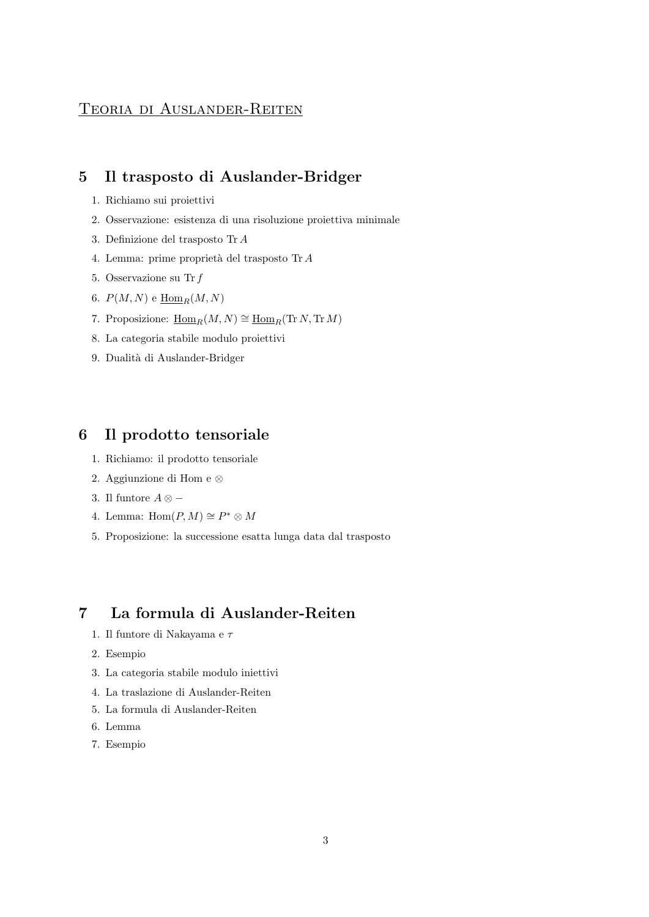# Teoria di Auslander-Reiten

# 5 Il trasposto di Auslander-Bridger

- 1. Richiamo sui proiettivi
- 2. Osservazione: esistenza di una risoluzione proiettiva minimale
- 3. Definizione del trasposto Tr A
- 4. Lemma: prime proprietà del trasposto Tr A
- 5. Osservazione su Tr f
- 6.  $P(M, N)$  e  $\underline{\text{Hom}}_R(M, N)$
- 7. Proposizione:  $\underline{\text{Hom}}_R(M, N) \cong \underline{\text{Hom}}_R(\text{Tr }N, \text{Tr }M)$
- 8. La categoria stabile modulo proiettivi
- 9. Dualità di Auslander-Bridger

# 6 Il prodotto tensoriale

- 1. Richiamo: il prodotto tensoriale
- 2. Aggiunzione di Hom e ⊗
- 3. Il funtore  $A \otimes -$
- 4. Lemma:  $Hom(P, M) \cong P^* \otimes M$
- 5. Proposizione: la successione esatta lunga data dal trasposto

### 7 La formula di Auslander-Reiten

- 1. Il funtore di Nakayama e $\tau$
- 2. Esempio
- 3. La categoria stabile modulo iniettivi
- 4. La traslazione di Auslander-Reiten
- 5. La formula di Auslander-Reiten
- 6. Lemma
- 7. Esempio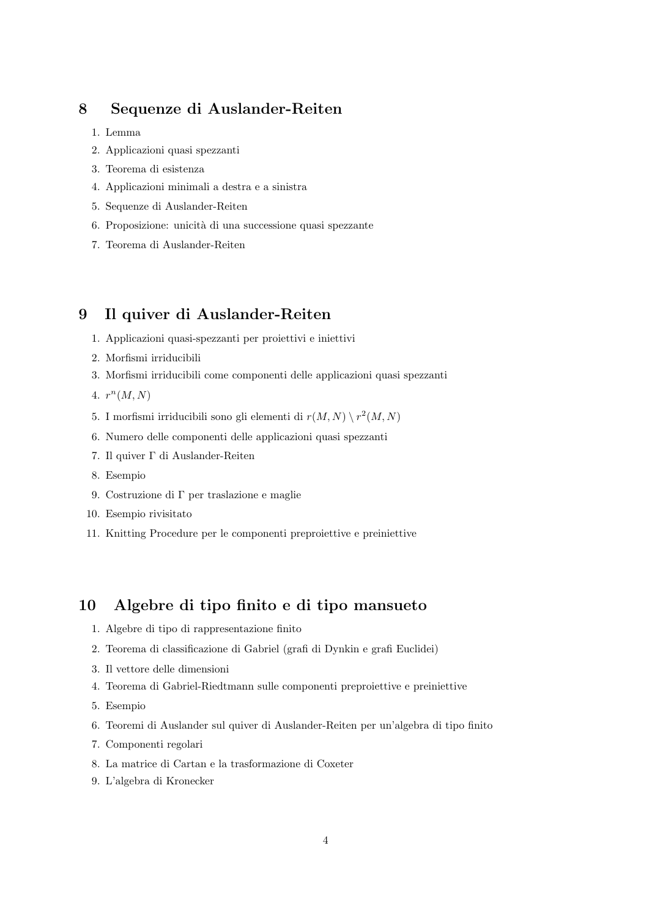### 8 Sequenze di Auslander-Reiten

- 1. Lemma
- 2. Applicazioni quasi spezzanti
- 3. Teorema di esistenza
- 4. Applicazioni minimali a destra e a sinistra
- 5. Sequenze di Auslander-Reiten
- 6. Proposizione: unicità di una successione quasi spezzante
- 7. Teorema di Auslander-Reiten

### 9 Il quiver di Auslander-Reiten

- 1. Applicazioni quasi-spezzanti per proiettivi e iniettivi
- 2. Morfismi irriducibili
- 3. Morfismi irriducibili come componenti delle applicazioni quasi spezzanti
- 4.  $r^{n}(M, N)$
- 5. I morfismi irriducibili sono gli elementi di  $r(M, N) \setminus r^2(M, N)$
- 6. Numero delle componenti delle applicazioni quasi spezzanti
- 7. Il quiver Γ di Auslander-Reiten
- 8. Esempio
- 9. Costruzione di Γ per traslazione e maglie
- 10. Esempio rivisitato
- 11. Knitting Procedure per le componenti preproiettive e preiniettive

### 10 Algebre di tipo finito e di tipo mansueto

- 1. Algebre di tipo di rappresentazione finito
- 2. Teorema di classificazione di Gabriel (grafi di Dynkin e grafi Euclidei)
- 3. Il vettore delle dimensioni
- 4. Teorema di Gabriel-Riedtmann sulle componenti preproiettive e preiniettive
- 5. Esempio
- 6. Teoremi di Auslander sul quiver di Auslander-Reiten per un'algebra di tipo finito
- 7. Componenti regolari
- 8. La matrice di Cartan e la trasformazione di Coxeter
- 9. L'algebra di Kronecker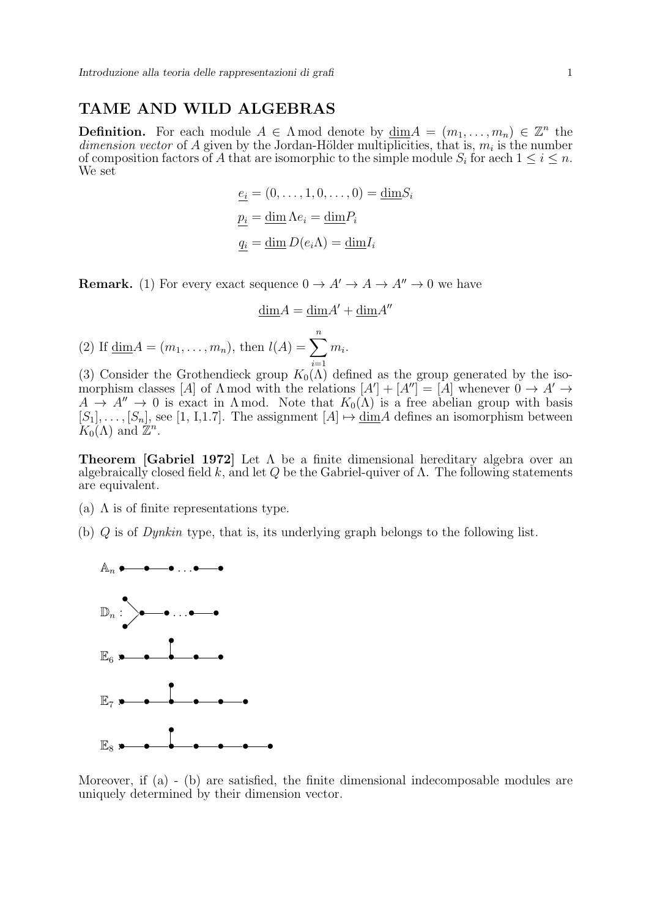#### TAME AND WILD ALGEBRAS

**Definition.** For each module  $A \in \Lambda$  mod denote by  $\underline{\dim}A = (m_1, \ldots, m_n) \in \mathbb{Z}^n$  the dimension vector of A given by the Jordan-Hölder multiplicities, that is,  $m_i$  is the number of composition factors of A that are isomorphic to the simple module  $S_i$  for aech  $1 \leq i \leq n$ . We set

$$
\underline{e_i} = (0, \dots, 1, 0, \dots, 0) = \underline{\dim} S_i
$$

$$
\underline{p_i} = \underline{\dim} \Lambda e_i = \underline{\dim} P_i
$$

$$
\underline{q_i} = \underline{\dim} D(e_i \Lambda) = \underline{\dim} I_i
$$

**Remark.** (1) For every exact sequence  $0 \to A' \to A \to A'' \to 0$  we have

$$
\underline{\dim} A = \underline{\dim} A' + \underline{\dim} A''
$$

(2) If  $\underline{\dim} A = (m_1, ..., m_n)$ , then  $l(A) = \sum_{n=1}^{n}$  $i=1$  $m_i$ .

(3) Consider the Grothendieck group  $K_0(\Lambda)$  defined as the group generated by the isomorphism classes [A] of  $\Lambda$  mod with the relations  $[A' + [A''] = [A]$  whenever  $0 \to A' \to$  $A \to A'' \to 0$  is exact in  $\Lambda$  mod. Note that  $K_0(\Lambda)$  is a free abelian group with basis  $[S_1], \ldots, [S_n],$  see [1, I,1.7]. The assignment  $[A] \mapsto \underline{\dim}A$  defines an isomorphism between  $K_0(\Lambda)$  and  $\mathbb{Z}^n$ .

**Theorem [Gabriel 1972]** Let  $\Lambda$  be a finite dimensional hereditary algebra over an algebraically closed field k, and let Q be the Gabriel-quiver of  $\Lambda$ . The following statements are equivalent.

- (a)  $\Lambda$  is of finite representations type.
- (b) Q is of Dynkin type, that is, its underlying graph belongs to the following list.



Moreover, if (a) - (b) are satisfied, the finite dimensional indecomposable modules are uniquely determined by their dimension vector.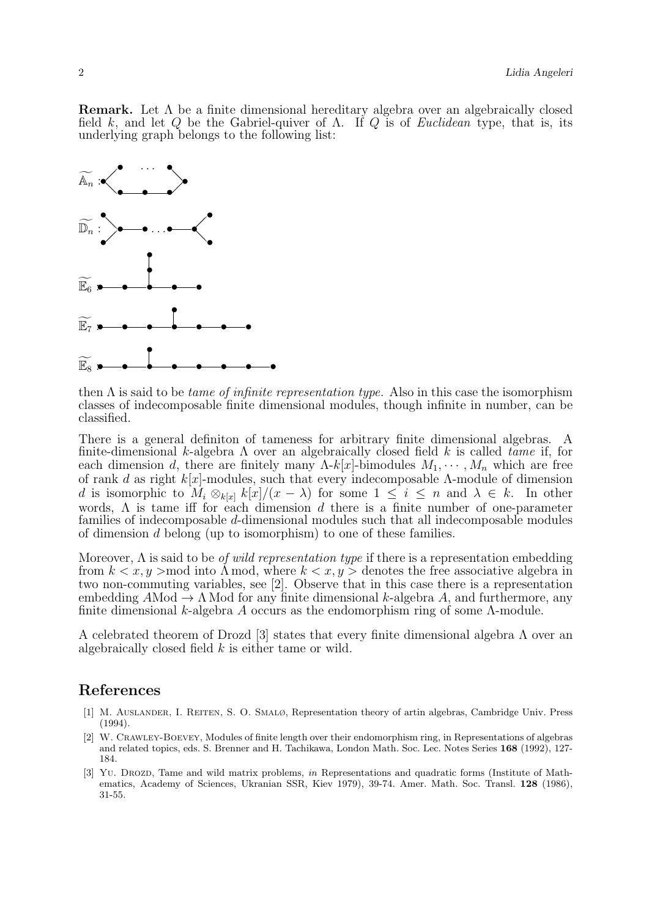**Remark.** Let  $\Lambda$  be a finite dimensional hereditary algebra over an algebraically closed field k, and let Q be the Gabriel-quiver of  $\Lambda$ . If Q is of *Euclidean* type, that is, its underlying graph belongs to the following list:



then  $\Lambda$  is said to be *tame of infinite representation type*. Also in this case the isomorphism classes of indecomposable finite dimensional modules, though infinite in number, can be classified.

There is a general definiton of tameness for arbitrary finite dimensional algebras. A finite-dimensional k-algebra  $\Lambda$  over an algebraically closed field k is called tame if, for each dimension d, there are finitely many  $\Lambda$ -k[x]-bimodules  $M_1, \dots, M_n$  which are free of rank d as right  $k[x]$ -modules, such that every indecomposable Λ-module of dimension d is isomorphic to  $M_i \otimes_{k[x]} k[x]/(x - \lambda)$  for some  $1 \leq i \leq n$  and  $\lambda \in k$ . In other words,  $\Lambda$  is tame iff for each dimension d there is a finite number of one-parameter families of indecomposable d-dimensional modules such that all indecomposable modules of dimension d belong (up to isomorphism) to one of these families.

Moreover,  $\Lambda$  is said to be *of wild representation type* if there is a representation embedding from  $k < x, y > \text{mod}$  into  $\Lambda$  mod, where  $k < x, y >$  denotes the free associative algebra in two non-commuting variables, see [2]. Observe that in this case there is a representation embedding  $A\text{Mod} \rightarrow \Lambda \text{Mod}$  for any finite dimensional k-algebra A, and furthermore, any finite dimensional k-algebra A occurs as the endomorphism ring of some Λ-module.

A celebrated theorem of Drozd [3] states that every finite dimensional algebra  $\Lambda$  over an algebraically closed field k is either tame or wild.

#### References

- [1] M. Auslander, I. Reiten, S. O. Smalø, Representation theory of artin algebras, Cambridge Univ. Press (1994).
- [2] W. Crawley-Boevey, Modules of finite length over their endomorphism ring, in Representations of algebras and related topics, eds. S. Brenner and H. Tachikawa, London Math. Soc. Lec. Notes Series 168 (1992), 127- 184.
- [3] Yu. DROZD, Tame and wild matrix problems, in Representations and quadratic forms (Institute of Mathematics, Academy of Sciences, Ukranian SSR, Kiev 1979), 39-74. Amer. Math. Soc. Transl. 128 (1986), 31-55.